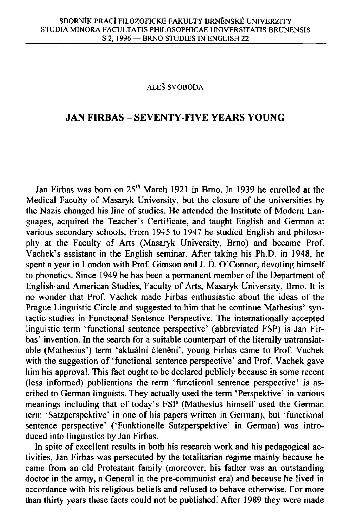## **ALES SVOBODA**

## **J AN FIRBAS - SEVENTY-FIVE YEARS YOUNG**

Jan Firbas was born on  $25<sup>th</sup>$  March 1921 in Brno. In 1939 he enrolled at the Medical Faculty of Masaryk University, but the closure of the universities by the Nazis changed his line of studies. He attended the Institute of Modern Languages, acquired the Teacher's Certificate, and taught English and German at various secondary schools. From 1945 to 1947 he studied English and philosophy at the Faculty of Arts (Masaryk University, Brno) and became Prof. Vachek's assistant in the English seminar. After taking his Ph.D. in 1948, he spent a year in London with Prof. Gimson and J. D. O'Connor, devoting himself to phonetics. Since 1949 he has been a permanent member of the Department of English and American Studies, Faculty of Arts, Masaryk University, Brno. It is no wonder that Prof. Vachek made Firbas enthusiastic about the ideas of the Prague Linguistic Circle and suggested to him that he continue Mathesius' syntactic studies in Functional Sentence Perspective. The internationally accepted linguistic term 'functional sentence perspective' (abbreviated FSP) is Jan Firbas' invention. In the search for a suitable counterpart of the literally untranslatable (Mathesius') term 'aktuální členění', young Firbas came to Prof. Vachek with the suggestion of 'functional sentence perspective' and Prof. Vachek gave him his approval. This fact ought to be declared publicly because in some recent (less informed) publications the term 'functional sentence perspective' is ascribed to German linguists. They actually used the term 'Perspektive' in various meanings including that of today's FSP (Mathesius himself used the German term 'Satzperspektive' in one of his papers written in German), but 'functional sentence perspective' ('Funktionelle Satzperspektive' in German) was introduced into linguistics by Jan Firbas.

In spite of excellent results in both his research work and his pedagogical activities, Jan Firbas was persecuted by the totalitarian regime mainly because he came from an old Protestant family (moreover, his father was an outstanding doctor in the army, a General in the pre-communist era) and because he lived in accordance with his religious beliefs and refused to behave otherwise. For more than thirty years these facts could not be published.' After 1989 they were made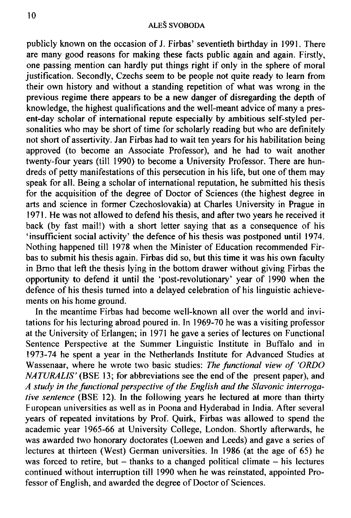publicly known on the occasion of J. Firbas' seventieth birthday in 1991. There are many good reasons for making these facts public again and again. Firstly, one passing mention can hardly put things right if only in the sphere of moral justification. Secondly, Czechs seem to be people not quite ready to learn from their own history and without a standing repetition of what was wrong in the previous regime there appears to be a new danger of disregarding the depth of knowledge, the highest qualifications and the well-meant advice of many a present-day scholar of international repute especially by ambitious self-styled personalities who may be short of time for scholarly reading but who are definitely not short of assertivity. Jan Firbas had to wait ten years for his habilitation being approved (to become an Associate Professor), and he had to wait another twenty-four years (till 1990) to become a University Professor. There are hundreds of petty manifestations of this persecution in his life, but one of them may speak for all. Being a scholar of international reputation, he submitted his thesis for the acquisition of the degree of Doctor of Sciences (the highest degree in arts and science in former Czechoslovakia) at Charles University in Prague in 1971. He was not allowed to defend his thesis, and after two years he received it back (by fast mail!) with a short letter saying that as a consequence of his 'insufficient social activity' the defence of his thesis was postponed until 1974. Nothing happened till 1978 when the Minister of Education recommended Firbas to submit his thesis again. Firbas did so, but this time it was his own faculty in Brno that left the thesis lying in the bottom drawer without giving Firbas the opportunity to defend it until the 'post-revolutionary' year of 1990 when the defence of his thesis turned into a delayed celebration of his linguistic achievements on his home ground.

In the meantime Firbas had become well-known all over the world and invitations for his lecturing abroad poured in. In 1969-70 he was a visiting professor at the University of Erlangen; in 1971 he gave a series of lectures on Functional Sentence Perspective at the Summer Linguistic Institute in Buffalo and in 1973-74 he spent a year in the Netherlands Institute for Advanced Studies at Wassenaar, where he wrote two basic studies: *The functional view of 'ORDO NATURALIS'* (BSE 13; for abbreviations see the end of the present paper), and *A study in the functional perspective of the English and the Slavonic interrogative sentence* (BSE 12). In the following years he lectured at more than thirty F uropean universities as well as in Poona and Hyderabad in India. After several years of repeated invitations by Prof. Quirk, Firbas was allowed to spend the academic year 1965-66 at University College, London. Shortly afterwards, he was awarded two honorary doctorates (Loewen and Leeds) and gave a series of lectures at thirteen (West) German universities. In 1986 (at the age of 65) he was forced to retire, but  $-$  thanks to a changed political climate  $-$  his lectures continued without interruption till 1990 when he was reinstated, appointed Professor of English, and awarded the degree of Doctor of Sciences.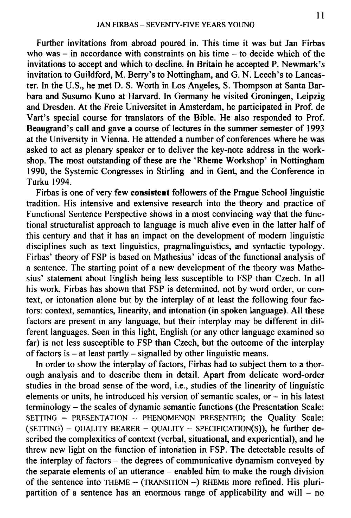Further invitations from abroad poured in. This time it was but Jan Firbas who was  $-$  in accordance with constraints on his time  $-$  to decide which of the invitations to accept and which to decline. In Britain he accepted P. Newmark's invitation to Guildford, M. Berry's to Nottingham, and G. N. Leech's to Lancaster. In the U.S., he met D. S. Worth in Los Angeles, S. Thompson at Santa Barbara and Susumo Kuno at Harvard. In Germany he visited Groningen, Leipzig and Dresden. At the Freie Universitet in Amsterdam, he participated in Prof, de Vart's special course for translators of the Bible. He also responded to Prof. Beaugrand's call and gave a course of lectures in the summer semester of 1993 at the University in Vienna. He attended a number of conferences where he was asked to act as plenary speaker or to deliver the key-note address in the workshop. The most outstanding of these are the 'Rheme Workshop' in Nottingham 1990, the Systemic Congresses in Stirling and in Gent, and the Conference in Turku 1994.

Firbas is one of very few **consistent** followers of the Prague School linguistic tradition. His intensive and extensive research into the theory and practice of Functional Sentence Perspective shows in a most convincing way that the functional structuralist approach to language is much alive even in the latter half of this century and that it has an impact on the development of modern linguistic disciplines such as text linguistics, pragmalinguistics, and syntactic typology. Firbas' theory of FSP is based on Mathesius' ideas of the functional analysis of a sentence. The starting point of a new development of the theory was Mathesius' statement about English being less susceptible to FSP than Czech. In all his work, Firbas has shown that FSP is determined, not by word order, or context, or intonation alone but by the interplay of at least the following four factors: context, semantics, linearity, and intonation (in spoken language). All these factors are present in any language, but their interplay may be different in different languages. Seen in this light, English (or any other language examined so far) is not less susceptible to FSP than Czech, but the outcome of the interplay of factors is  $-$  at least partly  $-$  signalled by other linguistic means.

In order to show the interplay of factors, Firbas had to subject them to a thorough analysis and to describe them in detail. Apart from delicate word-order studies in the broad sense of the word, i.e., studies of the linearity of linguistic elements or units, he introduced his version of semantic scales, or  $-$  in his latest terminology – the scales of dynamic semantic functions (the Presentation Scale: **SETTING - PRESENTATION - PHENOMENON PRESENTED;** the Quality Scale: **(SETTING) - QUALITY BEARER - QUALITY - SPECIFICATION(S)),** he further described the complexities of context (verbal, situational, and experiential), and he threw new light on the function of intonation in FSP. The detectable results of the interplay of factors  $-$  the degrees of communicative dynamism conveyed by the separate elements of an utterance – enabled him to make the rough division of the sentence into **THEME - (TRANSITION -) RHEME** more refined. His pluripartition of a sentence has an enormous range of applicability and will  $-$  no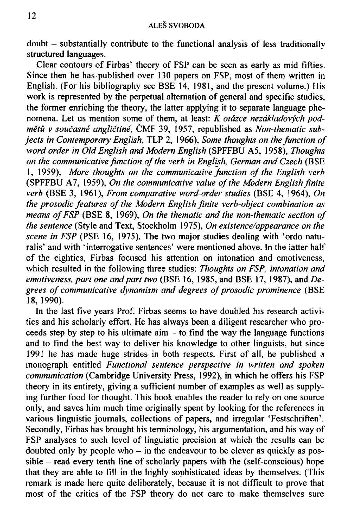doubt - substantially contribute to the functional analysis of less traditionally structured languages.

Clear contours of Firbas' theory of FSP can be seen as early as mid fifties. Since then he has published over 130 papers on FSP, most of them written in English. (For his bibliography see BSE 14, 1981, and the present volume.) His work is represented by the perpetual alternation of general and specific studies, the former enriching the theory, the latter applying it to separate language phenomena. Let us mention some of them, at least: *K otdzce nezdkladovych podmetii* v *soucasne anglictine,* CMF 39, 1957, republished as *Non-thematic subjects in Contemporary English,* TLP 2, 1966), *Some thoughts on the function of word order in Old English and Modern English* (SPFFBU A5, 1958), *Thoughts on the communicative function of the verb in English, German and Czech* (BSE 1, 1959), *More thoughts on the communicative function of the English verb*  (SPFFBU A7, 1959), *On the communicative value of the Modern English finite verb* (BSE 3, 1961), *From comparative word-order studies* (BSE 4, 1964), *On the prosodic features of the Modern English finite verb-object combination as means of FSP* (BSE 8, 1969), *On the thematic and the non-thematic section of the sentence* (Style and Text, Stockholm 1975), *On existence/appearance on the scene in FSP* (PSE 16, 1975). The two major studies dealing with 'ordo naturalis' and with 'interrogative sentences' were mentioned above. In the latter half of the eighties, Firbas focused his attention on intonation and emotiveness, which resulted in the following three studies: *Thoughts on FSP, intonation and emotiveness, part one and part two* (BSE 16, 1985, and BSE 17, 1987), and *Degrees of communicative dynamism and degrees of prosodic prominence* (BSE 18, 1990).

In the last five years Prof. Firbas seems to have doubled his research activities and his scholarly effort. He has always been a diligent researcher who proceeds step by step to his ultimate aim  $-$  to find the way the language functions and to find the best way to deliver his knowledge to other linguists, but since 1991 he has made huge strides in both respects. First of all, he published a monograph entitled *Functional sentence perspective in written and spoken communication* (Cambridge University Press, 1992), in which he offers his FSP theory in its entirety, giving a sufficient number of examples as well as supplying further food for thought. This book enables the reader to rely on one source only, and saves him much time originally spent by looking for the references in various linguistic journals, collections of papers, and irregular 'Festschriften'. Secondly, Firbas has brought his terminology, his argumentation, and his way of FSP analyses to such level of linguistic precision at which the results can be doubted only by people who  $-$  in the endeavour to be clever as quickly as possible - read every tenth line of scholarly papers with the (self-conscious) hope that they are able to fill in the highly sophisticated ideas by themselves. (This remark is made here quite deliberately, because it is not difficult to prove that most of the critics of the FSP theory do not care to make themselves sure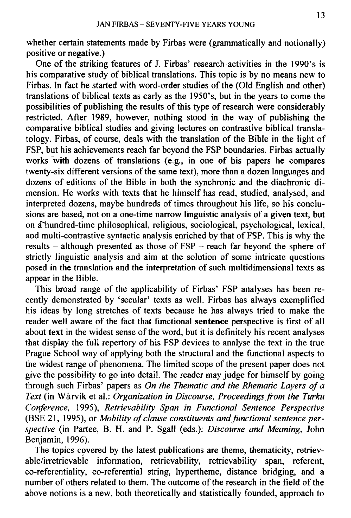whether certain statements made by Firbas were (grammatically and notionally) positive or negative.)

One of the striking features of J. Firbas' research activities in the 1990's is his comparative study of biblical translations. This topic is by no means new to Firbas. In fact he started with word-order studies of the (Old English and other) translations of biblical texts as early as the 1950's, but in the years to come the possibilities of publishing the results of this type of research were considerably restricted. After 1989, however, nothing stood in the way of publishing the comparative biblical studies and giving lectures on contrastive biblical translatology. Firbas, of course, deals with the translation of the Bible in the light of FSP, but his achievements reach far beyond the FSP boundaries. Firbas actually works with dozens of translations (e.g., in one of his papers he compares twenty-six different versions of the same text), more than a dozen languages and dozens of editions of the Bible in both the synchronic and the diachronic dimension. He works with texts that he himself has read, studied, analysed, and interpreted dozens, maybe hundreds of times throughout his life, so his conclusions are based, not on a one-time narrow linguistic analysis of a given text, but on a hundred-time philosophical, religious, sociological, psychological, lexical, and multi-contrastive syntactic analysis enriched by that of FSP. This is why the results - although presented as those of FSP - reach far beyond the sphere of strictly linguistic analysis and aim at the solution of some intricate questions posed in the translation and the interpretation of such multidimensional texts as appear in the Bible.

This broad range of the applicability of Firbas' FSP analyses has been recently demonstrated by 'secular' texts as well. Firbas has always exemplified his ideas by long stretches of texts because he has always tried to make the reader well aware of the fact that functional **sentence** perspective is first of all about **text** in the widest sense of the word, but it is definitely his recent analyses that display the full repertory of his FSP devices to analyse the text in the true Prague School way of applying both the structural and the functional aspects to the widest range of phenomena. The limited scope of the present paper does not give the possibility to go into detail. The reader may judge for himself by going through such Firbas' papers as *On the Thematic and the Rhematic Layers of a Text* (in Warvik et al.: *Organization in Discourse, Proceedings from the Turku Conference,* 1995), *Retrievability Span in Functional Sentence Perspective*  (BSE 21, 1995), or *Mobility of clause constituents and functional sentence perspective* (in Partee, B. H. and P. Sgall (eds.): *Discourse and Meaning,* John Benjamin, 1996).

The topics covered by the latest publications are theme, thematicity, retrievable/irretrievable information, retrievability, retrievability span, referent, co-referentiality, co-referential string, hypertheme, distance bridging, and a number of others related to them. The outcome of the research in the field of the above notions is a new, both theoretically and statistically founded, approach to